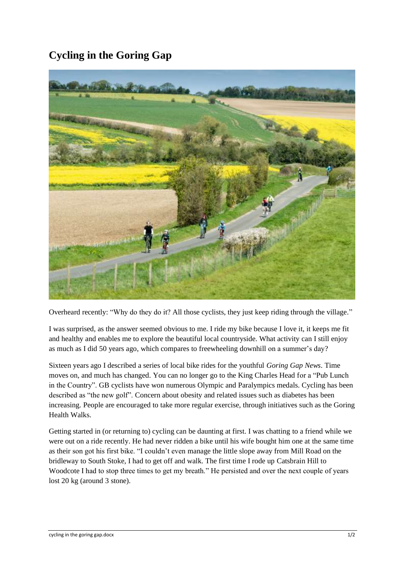## **Cycling in the Goring Gap**



Overheard recently: "Why do they do it? All those cyclists, they just keep riding through the village."

I was surprised, as the answer seemed obvious to me. I ride my bike because I love it, it keeps me fit and healthy and enables me to explore the beautiful local countryside. What activity can I still enjoy as much as I did 50 years ago, which compares to freewheeling downhill on a summer's day?

Sixteen years ago I described a series of local bike rides for the youthful *Goring Gap News*. Time moves on, and much has changed. You can no longer go to the King Charles Head for a "Pub Lunch in the Country". GB cyclists have won numerous Olympic and Paralympics medals. Cycling has been described as "the new golf". Concern about obesity and related issues such as diabetes has been increasing. People are encouraged to take more regular exercise, through initiatives such as the Goring Health Walks.

Getting started in (or returning to) cycling can be daunting at first. I was chatting to a friend while we were out on a ride recently. He had never ridden a bike until his wife bought him one at the same time as their son got his first bike. "I couldn't even manage the little slope away from Mill Road on the bridleway to South Stoke, I had to get off and walk. The first time I rode up Catsbrain Hill to Woodcote I had to stop three times to get my breath." He persisted and over the next couple of years lost 20 kg (around 3 stone).